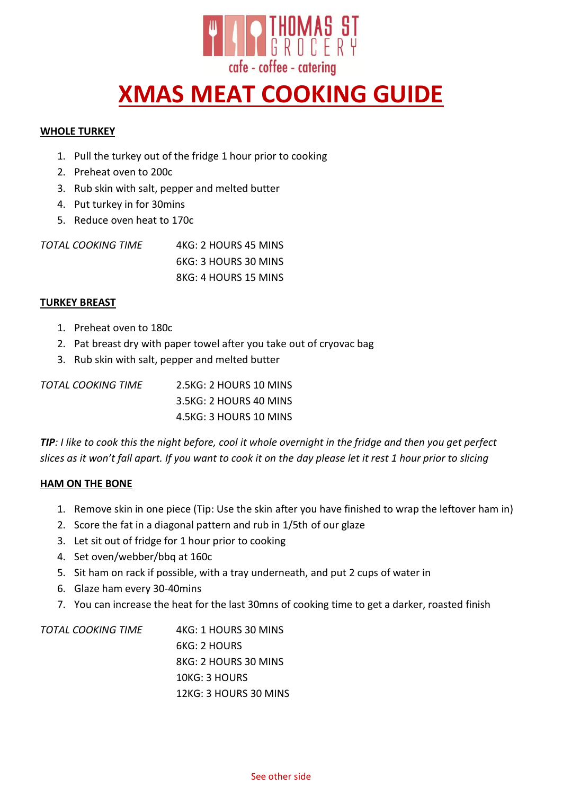

# **XMAS MEAT COOKING GUIDE**

## **WHOLE TURKEY**

- 1. Pull the turkey out of the fridge 1 hour prior to cooking
- 2. Preheat oven to 200c
- 3. Rub skin with salt, pepper and melted butter
- 4. Put turkey in for 30mins
- 5. Reduce oven heat to 170c

| TOTAL COOKING TIME | 4KG: 2 HOURS 45 MINS |
|--------------------|----------------------|
|                    | 6KG: 3 HOURS 30 MINS |
|                    | 8KG: 4 HOURS 15 MINS |

## **TURKEY BREAST**

- 1. Preheat oven to 180c
- 2. Pat breast dry with paper towel after you take out of cryovac bag
- 3. Rub skin with salt, pepper and melted butter

| TOTAL COOKING TIME | 2.5KG: 2 HOURS 10 MINS |
|--------------------|------------------------|
|                    | 3.5KG: 2 HOURS 40 MINS |
|                    | 4.5KG: 3 HOURS 10 MINS |

*TIP: I like to cook this the night before, cool it whole overnight in the fridge and then you get perfect slices as it won't fall apart. If you want to cook it on the day please let it rest 1 hour prior to slicing*

#### **HAM ON THE BONE**

- 1. Remove skin in one piece (Tip: Use the skin after you have finished to wrap the leftover ham in)
- 2. Score the fat in a diagonal pattern and rub in 1/5th of our glaze
- 3. Let sit out of fridge for 1 hour prior to cooking
- 4. Set oven/webber/bbq at 160c
- 5. Sit ham on rack if possible, with a tray underneath, and put 2 cups of water in
- 6. Glaze ham every 30-40mins
- 7. You can increase the heat for the last 30mns of cooking time to get a darker, roasted finish

| TOTAL COOKING TIME | 4KG: 1 HOURS 30 MINS  |
|--------------------|-----------------------|
|                    | 6KG: 2 HOURS          |
|                    | 8KG: 2 HOURS 30 MINS  |
|                    | 10KG: 3 HOURS         |
|                    | 12KG: 3 HOURS 30 MINS |